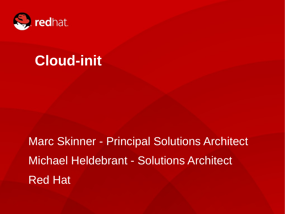

# **Cloud-init**

Marc Skinner - Principal Solutions Architect Michael Heldebrant - Solutions Architect Red Hat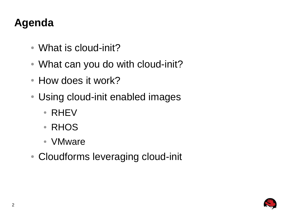## **Agenda**

- What is cloud-init?
- What can you do with cloud-init?
- How does it work?
- Using cloud-init enabled images
	- RHEV
	- RHOS
	- VMware
- Cloudforms leveraging cloud-init

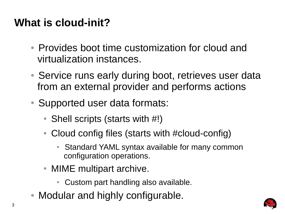## **What is cloud-init?**

- Provides boot time customization for cloud and virtualization instances.
- Service runs early during boot, retrieves user data from an external provider and performs actions
- Supported user data formats:
	- Shell scripts (starts with  $\#!$ )
	- Cloud config files (starts with #cloud-config)
		- Standard YAML syntax available for many common configuration operations.
	- MIME multipart archive.
		- Custom part handling also available.
- Modular and highly configurable.

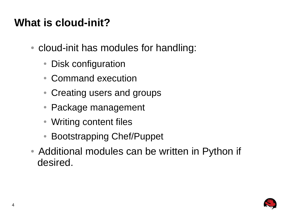## **What is cloud-init?**

- cloud-init has modules for handling:
	- Disk configuration
	- Command execution
	- Creating users and groups
	- Package management
	- Writing content files
	- Bootstrapping Chef/Puppet
- Additional modules can be written in Python if desired.

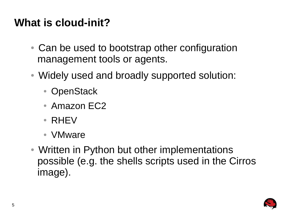#### **What is cloud-init?**

- Can be used to bootstrap other configuration management tools or agents.
- Widely used and broadly supported solution:
	- OpenStack
	- Amazon EC2
	- RHEV
	- VMware
- Written in Python but other implementations possible (e.g. the shells scripts used in the Cirros image).

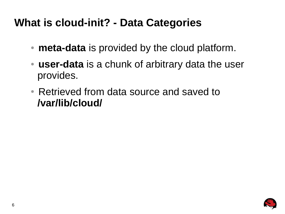#### **What is cloud-init? - Data Categories**

- **meta-data** is provided by the cloud platform.
- **user-data** is a chunk of arbitrary data the user provides.
- Retrieved from data source and saved to **/var/lib/cloud/**

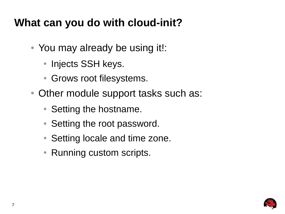#### **What can you do with cloud-init?**

- You may already be using it!:
	- Injects SSH keys.
	- Grows root filesystems.
- Other module support tasks such as:
	- Setting the hostname.
	- Setting the root password.
	- Setting locale and time zone.
	- Running custom scripts.

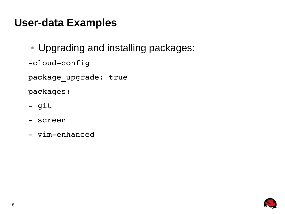• Upgrading and installing packages:

#cloud-config

package upgrade: true

packages:

- git
- screen
- vim-enhanced

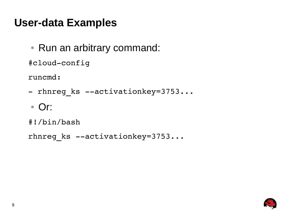• Run an arbitrary command:

#cloud-config

runcmd:

- rhnreg ks --activationkey=3753...
- Or:

```
#!/bin/bash
```

```
rhnreg ks --activationkey=3753...
```
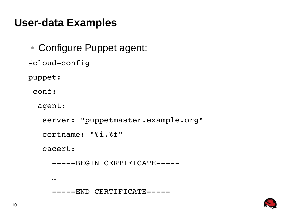• Configure Puppet agent: #cloud-config puppet: conf: agent:

server: "puppetmaster.example.org"

certname: "%i.%f"

cacert:

-----BEGIN CERTIFICATE-----

…

-----END CERTIFICATE-----

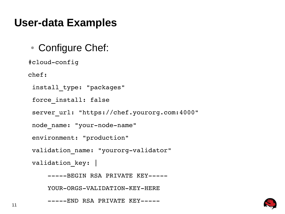#### • Configure Chef:

#cloud-config

chef:

```
install_type: "packages"
```
force\_install: false

```
server url: "https://chef.yourorg.com:4000"
```

```
node name: "your-node-name"
```

```
environment: "production"
```

```
validation name: "yourorg-validator"
```

```
validation key: |
```

```
-----BEGIN RSA PRIVATE KEY-----
```

```
YOUR-ORGS-VALIDATION-KEY-HERE
```

```
-----END RSA PRIVATE KEY-----
```
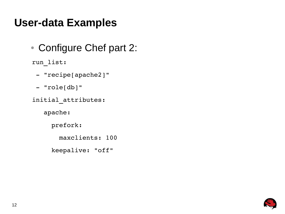• Configure Chef part 2:

run\_list:

- "recipe[apache2]"
- "role[db]"
- initial\_attributes:

apache:

prefork:

maxclients: 100

keepalive: "off"

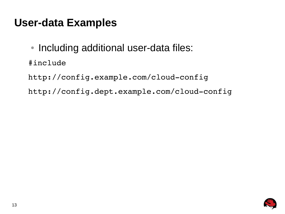- Including additional user-data files:
- #include

http://config.example.com/cloud-config http://config.dept.example.com/cloud-config

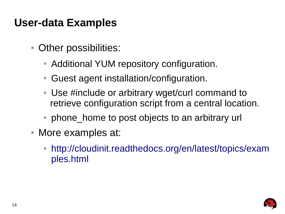- Other possibilities:
	- Additional YUM repository configuration.
	- Guest agent installation/configuration.
	- Use #include or arbitrary wget/curl command to retrieve configuration script from a central location.
	- phone home to post objects to an arbitrary url
- More examples at:
	- [http://cloudinit.readthedocs.org/en/latest/topics/exam](http://cloudinit.readthedocs.org/en/latest/topics/examples.html) [ples.html](http://cloudinit.readthedocs.org/en/latest/topics/examples.html)

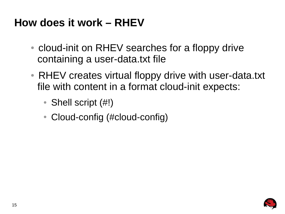#### **How does it work – RHEV**

- cloud-init on RHEV searches for a floppy drive containing a user-data.txt file
- RHEV creates virtual floppy drive with user-data.txt file with content in a format cloud-init expects:
	- Shell script  $(\#!)$
	- Cloud-config (#cloud-config)

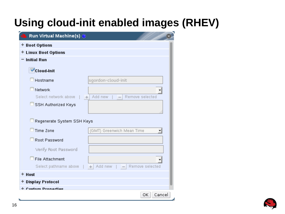## **Using cloud-init enabled images (RHEV)**

| Run Virtual Machine(s) $\circledcirc$ |                                  |
|---------------------------------------|----------------------------------|
| + Boot Options                        |                                  |
| + Linux Boot Options                  |                                  |
| <b>Initial Run</b>                    |                                  |
| Cloud-Init                            |                                  |
| Hostname                              | sgordon-cloud-init               |
| Network                               |                                  |
| Select network above                  | Add new<br>Remove selected<br>÷  |
| SSH Authorized Keys                   |                                  |
|                                       |                                  |
| Regenerate System SSH Keys            |                                  |
| Time Zone                             | (GMT)<br>Greenwich Mean Time     |
| Root Password                         |                                  |
| Verify Root Password                  |                                  |
| File Attachment                       |                                  |
| Select pathname above                 | Add new<br>Remove selected<br>÷. |
| + Host                                |                                  |
| + Display Protocol                    |                                  |
| <b>Custom Pronartias</b>              |                                  |
|                                       | Cancel<br>ОΚ                     |

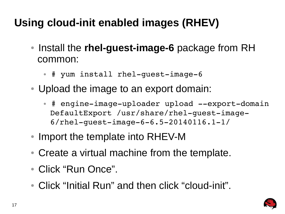## **Using cloud-init enabled images (RHEV)**

- Install the **rhel-guest-image-6** package from RH common:
	- # yum install rhel-quest-image-6
- Upload the image to an export domain:
	- # engine-image-uploader upload --export-domain DefaultExport /usr/share/rhel-quest-image- $6/r$ hel-quest-image-6-6.5-20140116.1-1/
- Import the template into RHEV-M
- Create a virtual machine from the template.
- Click "Run Once".
- Click "Initial Run" and then click "cloud-init".

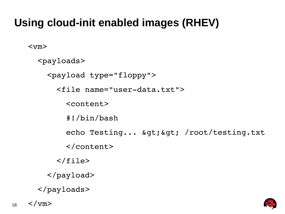## **Using cloud-init enabled images (RHEV)**

<vm>

```
  <payloads>
    <payload type="floppy">
   <file name="user-data.txt">
             <content>
              #!/bin/bash
     echo Testing... & gt; & gt; /root/testing.txt
             </content>
   \langlefile>
    </payload>
</payloads>
```


18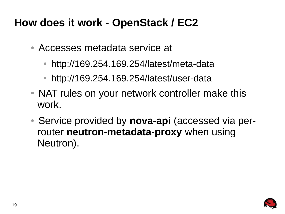#### **How does it work - OpenStack / EC2**

- Accesses metadata service at
	- http://169.254.169.254/latest/meta-data
	- http://169.254.169.254/latest/user-data
- NAT rules on your network controller make this work.
- Service provided by **nova-api** (accessed via perrouter **neutron-metadata-proxy** when using Neutron).

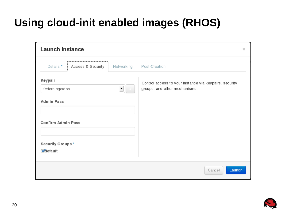## **Using cloud-init enabled images (RHOS)**

| <b>Launch Instance</b>               |                   |             |                                                                                         | $>\,$ |
|--------------------------------------|-------------------|-------------|-----------------------------------------------------------------------------------------|-------|
| Details *                            | Access & Security | Networking  | Post-Creation                                                                           |       |
| Keypair<br>fedora-sgordon            |                   | ▼<br>$^{+}$ | Control access to your instance via keypairs, security<br>groups, and other mechanisms. |       |
| <b>Admin Pass</b>                    |                   |             |                                                                                         |       |
| <b>Confirm Admin Pass</b>            |                   |             |                                                                                         |       |
| Security Groups *<br><b>Odefault</b> |                   |             |                                                                                         |       |
|                                      |                   |             | Launch<br>Cancel                                                                        |       |

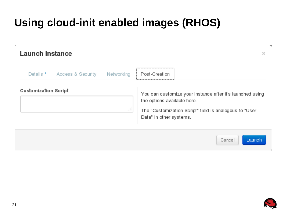## **Using cloud-init enabled images (RHOS)**

#### **Launch Instance**

Details \* Access & Security Networking Post-Creation **Customization Script** You can customize your instance after it's launched using the options available here. ... The "Customization Script" field is analogous to "User Data" in other systems.





в

 $\mathcal{M}$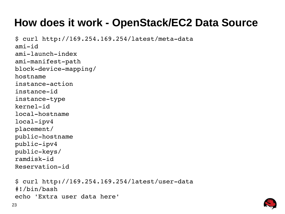#### **How does it work - OpenStack/EC2 Data Source**

 $$curl http://169.254.169.254/latest/meta-data$  $ami$ - $id$  $ami$ -launch-index ami-manifest-path block-device-mapping/ hostname instanceaction instance-id instance-type kernel-id local-hostname  $local$ -ipv $4$ placement/ public-hostname public-ipv4 public-keys/  $randisk-id$ Reservation-id  $$ \, \, \text{curl} \, \, \text{http://169.254.169.254/latest/user-data}$ #!/bin/bash



echo 'Extra user data here'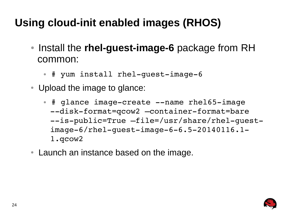## **Using cloud-init enabled images (RHOS)**

- Install the **rhel-guest-image-6** package from RH common:
	- # yum install rhel-quest-image-6
- Upload the image to glance:
	- # glance image-create --name rhel65-image --disk-format=qcow2 -container-format=bare --is-public=True –file=/usr/share/rhel-quest $image-6/rhel-quest-image-6-6.5-20140116.1-$ 1.qcow2
- Launch an instance based on the image.

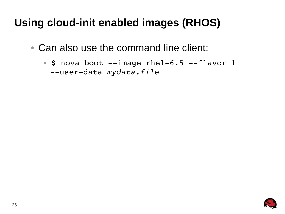## **Using cloud-init enabled images (RHOS)**

- Can also use the command line client:
	- $\bullet$  \$ nova boot  $-\text{-}$ image rhel-6.5  $-\text{-}$ flavor 1 --user-data *mydata.file*

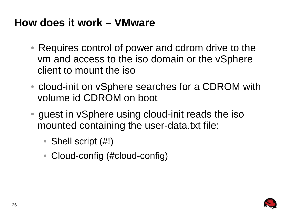#### **How does it work – VMware**

- Requires control of power and cdrom drive to the vm and access to the iso domain or the vSphere client to mount the iso
- cloud-init on vSphere searches for a CDROM with volume id CDROM on boot
- guest in vSphere using cloud-init reads the iso mounted containing the user-data.txt file:
	- Shell script  $(\#!)$
	- Cloud-config (#cloud-config)

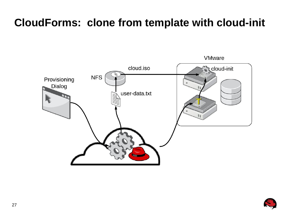#### **CloudForms: clone from template with cloud-init**





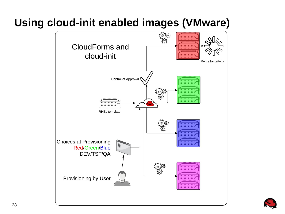## **Using cloud-init enabled images (VMware)**



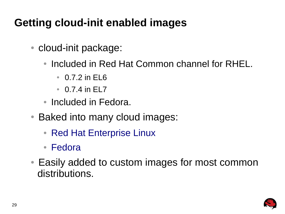## **Getting cloud-init enabled images**

- cloud-init package:
	- Included in Red Hat Common channel for RHEL.
		- 0.7.2 in EL6
		- $\bullet$  0.7.4 in FL7
	- Included in Fedora.
- Baked into many cloud images:
	- Red Hat Enterprise Linux
	- Fedora
- Easily added to custom images for most common distributions.

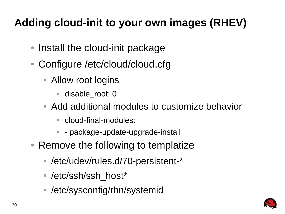## **Adding cloud-init to your own images (RHEV)**

- Install the cloud-init package
- Configure /etc/cloud/cloud.cfg
	- Allow root logins
		- disable\_root: 0
	- Add additional modules to customize behavior
		- cloud-final-modules:
		- [package-update-upgrade](https://rhn.redhat.com/rhn/software/channel/downloads/Download.do?cid=16952)-install
- Re[move t](http://fedoraproject.org/en/get-fedora#clouds)he following to templatize
	- /etc/udev/rules.d/70-persistent-\*
	- /etc/ssh/ssh\_host\*
	- /etc/sysconfig/rhn/systemid

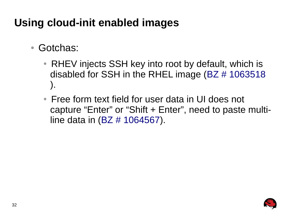## **Using cloud-init enabled images**

- Gotchas:
	- RHEV injects SSH key into root by default, which is disabled for SSH in the RHEL image (BZ # 1063518 ).
	- Free form text field for user data in UI does not capture "Enter" or "Shift + Enter", need to paste multiline data in (BZ # 1064567).

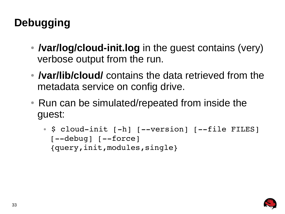## **Debugging**

- *I***var/log/cloud-init.log** in the guest contains (very) verbose output from the run.
- *Ivar/lib/cloud/* contains the data retrieved from the metadata service on config drive.
- Run can be simulated/repeated from inside the guest:
	- \$ cloud-init [-h] [--version] [--file FILES]  $[--debug]$   $[--force]$ {query,init,modules,single}